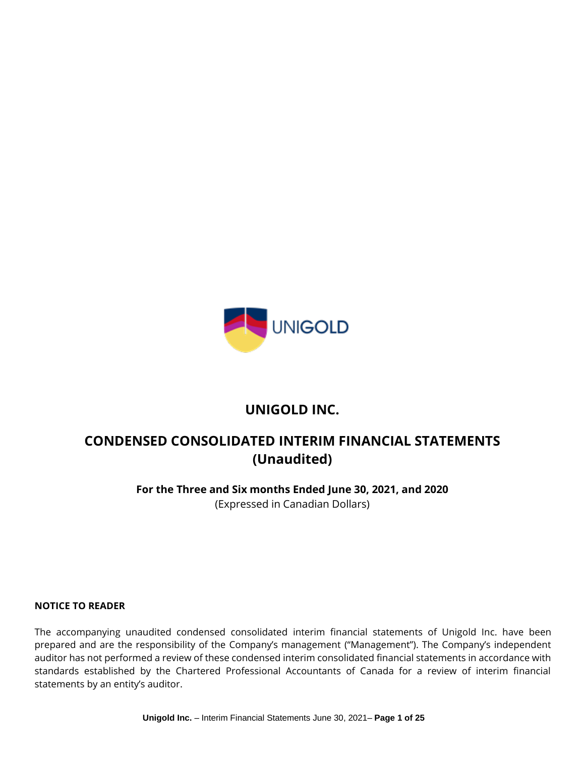

# **UNIGOLD INC.**

# **CONDENSED CONSOLIDATED INTERIM FINANCIAL STATEMENTS (Unaudited)**

**For the Three and Six months Ended June 30, 2021, and 2020** (Expressed in Canadian Dollars)

#### **NOTICE TO READER**

The accompanying unaudited condensed consolidated interim financial statements of Unigold Inc. have been prepared and are the responsibility of the Company's management ("Management"). The Company's independent auditor has not performed a review of these condensed interim consolidated financial statements in accordance with standards established by the Chartered Professional Accountants of Canada for a review of interim financial statements by an entity's auditor.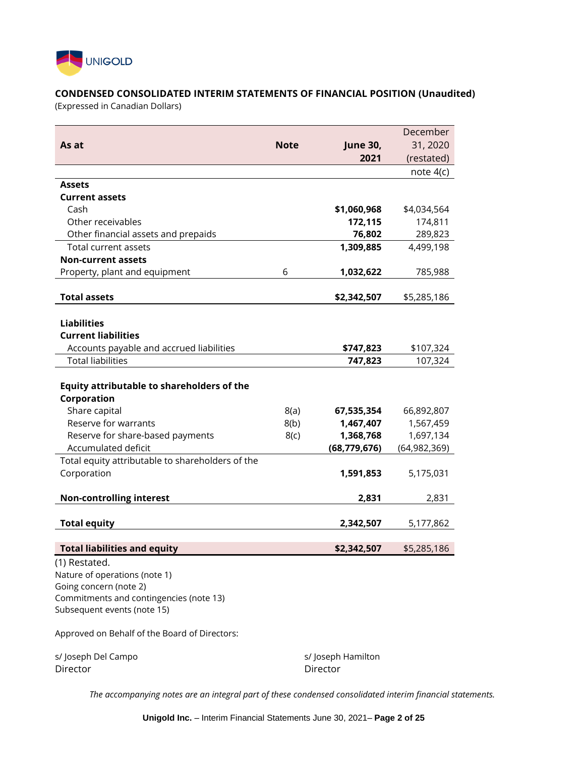

# **CONDENSED CONSOLIDATED INTERIM STATEMENTS OF FINANCIAL POSITION (Unaudited)**

(Expressed in Canadian Dollars)

|                                                         |             |                 | December       |
|---------------------------------------------------------|-------------|-----------------|----------------|
| As at                                                   | <b>Note</b> | <b>June 30,</b> | 31, 2020       |
|                                                         |             | 2021            | (restated)     |
|                                                         |             |                 | note $4(c)$    |
| <b>Assets</b>                                           |             |                 |                |
| <b>Current assets</b>                                   |             |                 |                |
| Cash                                                    |             | \$1,060,968     | \$4,034,564    |
| Other receivables                                       |             | 172,115         | 174,811        |
| Other financial assets and prepaids                     |             | 76,802          | 289,823        |
| Total current assets                                    |             | 1,309,885       | 4,499,198      |
| <b>Non-current assets</b>                               |             |                 |                |
| Property, plant and equipment                           | 6           | 1,032,622       | 785,988        |
| <b>Total assets</b>                                     |             | \$2,342,507     | \$5,285,186    |
|                                                         |             |                 |                |
| <b>Liabilities</b>                                      |             |                 |                |
| <b>Current liabilities</b>                              |             |                 |                |
| Accounts payable and accrued liabilities                |             | \$747,823       | \$107,324      |
| <b>Total liabilities</b>                                |             | 747,823         | 107,324        |
| Equity attributable to shareholders of the              |             |                 |                |
| Corporation                                             |             |                 |                |
| Share capital<br>Reserve for warrants                   | 8(a)        | 67,535,354      | 66,892,807     |
|                                                         | 8(b)        | 1,467,407       | 1,567,459      |
| Reserve for share-based payments<br>Accumulated deficit | 8(c)        | 1,368,768       | 1,697,134      |
| Total equity attributable to shareholders of the        |             | (68, 779, 676)  | (64, 982, 369) |
| Corporation                                             |             | 1,591,853       | 5,175,031      |
| <b>Non-controlling interest</b>                         |             | 2,831           | 2,831          |
|                                                         |             |                 |                |
| <b>Total equity</b>                                     |             | 2,342,507       | 5,177,862      |
|                                                         |             |                 |                |
| <b>Total liabilities and equity</b>                     |             | \$2,342,507     | \$5,285,186    |
| (1) Restated.                                           |             |                 |                |
| Nature of operations (note 1)                           |             |                 |                |
| Going concern (note 2)                                  |             |                 |                |
| Commitments and contingencies (note 13)                 |             |                 |                |
| Subsequent events (note 15)                             |             |                 |                |
| Approved on Behalf of the Board of Directors:           |             |                 |                |

s/Joseph Del Campo s/Joseph Hamilton Director Director

*The accompanying notes are an integral part of these condensed consolidated interim financial statements.*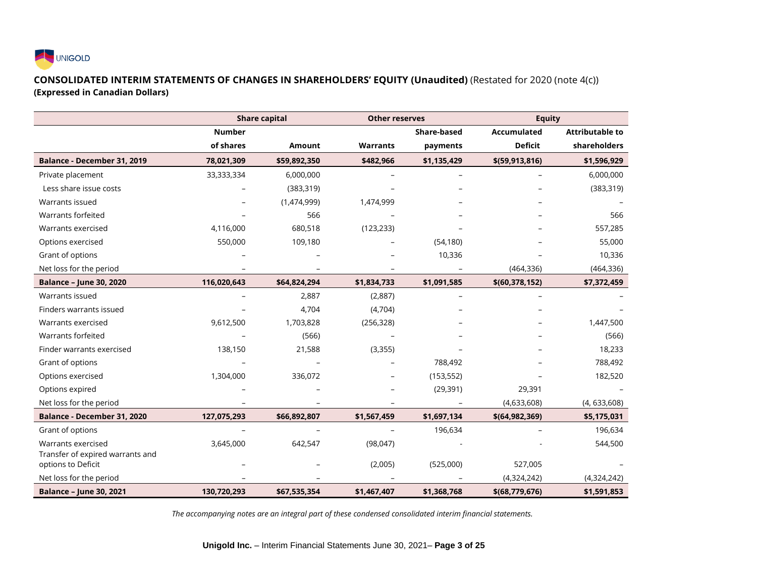

## **CONSOLIDATED INTERIM STATEMENTS OF CHANGES IN SHAREHOLDERS' EQUITY (Unaudited)** (Restated for 2020 (note 4(c)) **(Expressed in Canadian Dollars)**

|                                                        |               | <b>Share capital</b> | <b>Other reserves</b> |                    | <b>Equity</b>      |                        |
|--------------------------------------------------------|---------------|----------------------|-----------------------|--------------------|--------------------|------------------------|
|                                                        | <b>Number</b> |                      |                       | <b>Share-based</b> | <b>Accumulated</b> | <b>Attributable to</b> |
|                                                        | of shares     | Amount               | <b>Warrants</b>       | payments           | <b>Deficit</b>     | shareholders           |
| Balance - December 31, 2019                            | 78,021,309    | \$59,892,350         | \$482,966             | \$1,135,429        | \$(59, 913, 816)   | \$1,596,929            |
| Private placement                                      | 33,333,334    | 6,000,000            |                       |                    |                    | 6,000,000              |
| Less share issue costs                                 |               | (383, 319)           |                       |                    |                    | (383, 319)             |
| Warrants issued                                        |               | (1,474,999)          | 1,474,999             |                    |                    |                        |
| Warrants forfeited                                     |               | 566                  |                       |                    |                    | 566                    |
| Warrants exercised                                     | 4,116,000     | 680,518              | (123, 233)            |                    |                    | 557,285                |
| Options exercised                                      | 550,000       | 109,180              |                       | (54, 180)          |                    | 55,000                 |
| Grant of options                                       |               |                      |                       | 10,336             |                    | 10,336                 |
| Net loss for the period                                |               |                      | $\overline{a}$        |                    | (464, 336)         | (464, 336)             |
| <b>Balance - June 30, 2020</b>                         | 116,020,643   | \$64,824,294         | \$1,834,733           | \$1,091,585        | \$(60, 378, 152)   | \$7,372,459            |
| Warrants issued                                        |               | 2,887                | (2,887)               |                    |                    |                        |
| Finders warrants issued                                |               | 4,704                | (4,704)               |                    |                    |                        |
| Warrants exercised                                     | 9,612,500     | 1,703,828            | (256, 328)            |                    |                    | 1,447,500              |
| Warrants forfeited                                     |               | (566)                |                       |                    |                    | (566)                  |
| Finder warrants exercised                              | 138,150       | 21,588               | (3, 355)              |                    |                    | 18,233                 |
| Grant of options                                       |               |                      |                       | 788,492            |                    | 788,492                |
| Options exercised                                      | 1,304,000     | 336,072              |                       | (153, 552)         |                    | 182,520                |
| Options expired                                        |               |                      |                       | (29, 391)          | 29,391             |                        |
| Net loss for the period                                |               |                      | -                     |                    | (4,633,608)        | (4, 633, 608)          |
| Balance - December 31, 2020                            | 127,075,293   | \$66,892,807         | \$1,567,459           | \$1,697,134        | \$(64, 982, 369)   | \$5,175,031            |
| Grant of options                                       |               |                      |                       | 196,634            |                    | 196,634                |
| Warrants exercised                                     | 3,645,000     | 642,547              | (98,047)              |                    |                    | 544,500                |
| Transfer of expired warrants and<br>options to Deficit |               |                      | (2,005)               | (525,000)          | 527,005            |                        |
| Net loss for the period                                |               |                      |                       |                    | (4,324,242)        | (4,324,242)            |
| <b>Balance - June 30, 2021</b>                         | 130,720,293   | \$67,535,354         | \$1,467,407           | \$1,368,768        | \$(68,779,676)     | \$1,591,853            |

*The accompanying notes are an integral part of these condensed consolidated interim financial statements.*

**Unigold Inc.** – Interim Financial Statements June 30, 2021– **Page 3 of 25**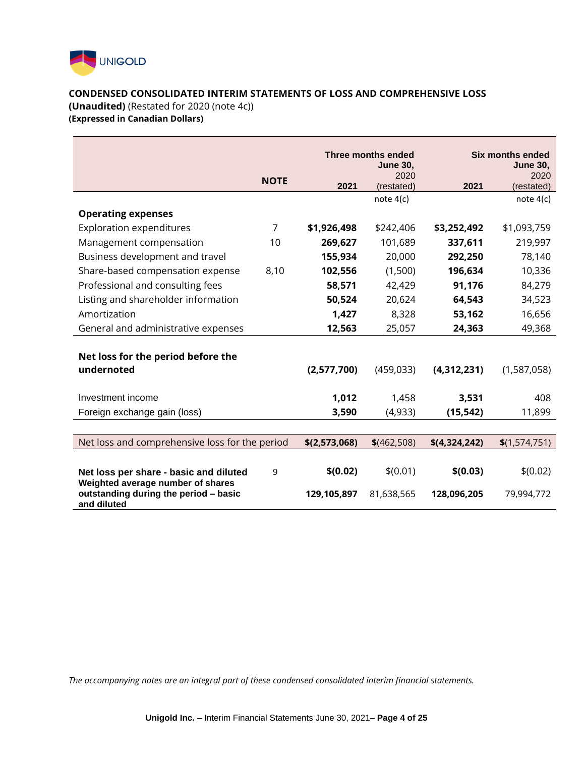

# **CONDENSED CONSOLIDATED INTERIM STATEMENTS OF LOSS AND COMPREHENSIVE LOSS**

**(Unaudited)** (Restated for 2020 (note 4c))

**(Expressed in Canadian Dollars)** 

|                                                                            |                | <b>Three months ended</b><br><b>June 30,</b> |                    | <b>Six months ended</b><br><b>June 30,</b> |                    |
|----------------------------------------------------------------------------|----------------|----------------------------------------------|--------------------|--------------------------------------------|--------------------|
|                                                                            | <b>NOTE</b>    | 2021                                         | 2020<br>(restated) | 2021                                       | 2020<br>(restated) |
|                                                                            |                |                                              | note $4(c)$        |                                            | note $4(c)$        |
| <b>Operating expenses</b>                                                  |                |                                              |                    |                                            |                    |
| <b>Exploration expenditures</b>                                            | $\overline{7}$ | \$1,926,498                                  | \$242,406          | \$3,252,492                                | \$1,093,759        |
| Management compensation                                                    | 10             | 269,627                                      | 101,689            | 337,611                                    | 219,997            |
| Business development and travel                                            |                | 155,934                                      | 20,000             | 292,250                                    | 78,140             |
| Share-based compensation expense                                           | 8,10           | 102,556                                      | (1,500)            | 196,634                                    | 10,336             |
| Professional and consulting fees                                           |                | 58,571                                       | 42,429             | 91,176                                     | 84,279             |
| Listing and shareholder information                                        |                | 50,524                                       | 20,624             | 64,543                                     | 34,523             |
| Amortization                                                               |                | 1,427                                        | 8,328              | 53,162                                     | 16,656             |
| General and administrative expenses                                        |                | 12,563                                       | 25,057             | 24,363                                     | 49,368             |
|                                                                            |                |                                              |                    |                                            |                    |
| Net loss for the period before the                                         |                |                                              |                    |                                            |                    |
| undernoted                                                                 |                | (2,577,700)                                  | (459, 033)         | (4,312,231)                                | (1,587,058)        |
|                                                                            |                |                                              |                    |                                            |                    |
| Investment income                                                          |                | 1,012                                        | 1,458              | 3,531                                      | 408                |
| Foreign exchange gain (loss)                                               |                | 3,590                                        | (4,933)            | (15, 542)                                  | 11,899             |
|                                                                            |                |                                              |                    |                                            |                    |
| Net loss and comprehensive loss for the period                             |                | \$(2,573,068)                                | $$$ (462,508)      | \$(4,324,242)                              | \$(1,574,751)      |
|                                                                            |                |                                              |                    |                                            |                    |
| Net loss per share - basic and diluted                                     | 9              | \$(0.02)                                     | \$(0.01)           | \$(0.03)                                   | \$(0.02)           |
| Weighted average number of shares<br>outstanding during the period - basic |                | 129,105,897                                  | 81,638,565         | 128,096,205                                | 79,994,772         |
| and diluted                                                                |                |                                              |                    |                                            |                    |

*The accompanying notes are an integral part of these condensed consolidated interim financial statements.*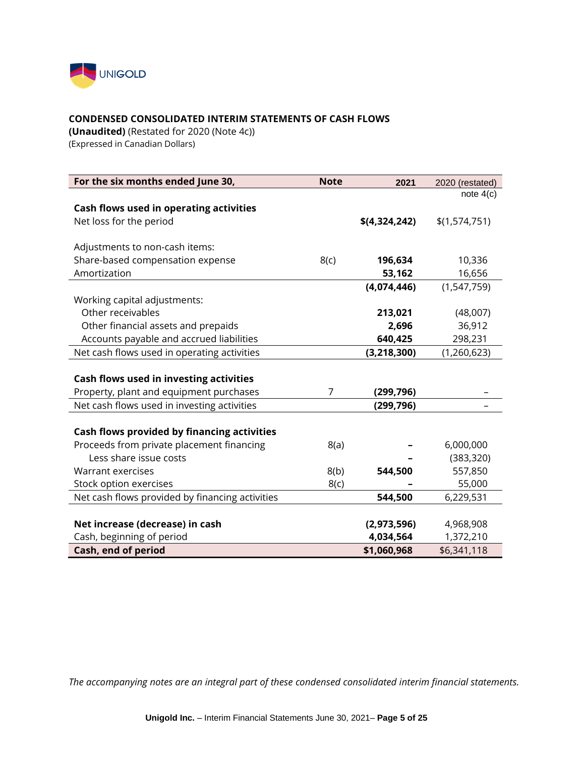

## **CONDENSED CONSOLIDATED INTERIM STATEMENTS OF CASH FLOWS**

**(Unaudited)** (Restated for 2020 (Note 4c)) (Expressed in Canadian Dollars)

| For the six months ended June 30,               | <b>Note</b> | 2021          | 2020 (restated) |
|-------------------------------------------------|-------------|---------------|-----------------|
|                                                 |             |               | note $4(c)$     |
| Cash flows used in operating activities         |             |               |                 |
| Net loss for the period                         |             | \$(4,324,242) | \$(1,574,751)   |
|                                                 |             |               |                 |
| Adjustments to non-cash items:                  |             |               |                 |
| Share-based compensation expense                | 8(c)        | 196,634       | 10,336          |
| Amortization                                    |             | 53,162        | 16,656          |
|                                                 |             | (4,074,446)   | (1,547,759)     |
| Working capital adjustments:                    |             |               |                 |
| Other receivables                               |             | 213,021       | (48,007)        |
| Other financial assets and prepaids             |             | 2,696         | 36,912          |
| Accounts payable and accrued liabilities        |             | 640,425       | 298,231         |
| Net cash flows used in operating activities     |             | (3, 218, 300) | (1, 260, 623)   |
|                                                 |             |               |                 |
| Cash flows used in investing activities         |             |               |                 |
| Property, plant and equipment purchases         | 7           | (299, 796)    |                 |
| Net cash flows used in investing activities     |             | (299, 796)    |                 |
|                                                 |             |               |                 |
| Cash flows provided by financing activities     |             |               |                 |
| Proceeds from private placement financing       | 8(a)        |               | 6,000,000       |
| Less share issue costs                          |             |               | (383, 320)      |
| Warrant exercises                               | 8(b)        | 544,500       | 557,850         |
| Stock option exercises                          | 8(c)        |               | 55,000          |
| Net cash flows provided by financing activities |             | 544,500       | 6,229,531       |
|                                                 |             |               |                 |
| Net increase (decrease) in cash                 |             | (2,973,596)   | 4,968,908       |
| Cash, beginning of period                       |             | 4,034,564     | 1,372,210       |
| Cash, end of period                             |             | \$1,060,968   | \$6,341,118     |

*The accompanying notes are an integral part of these condensed consolidated interim financial statements.*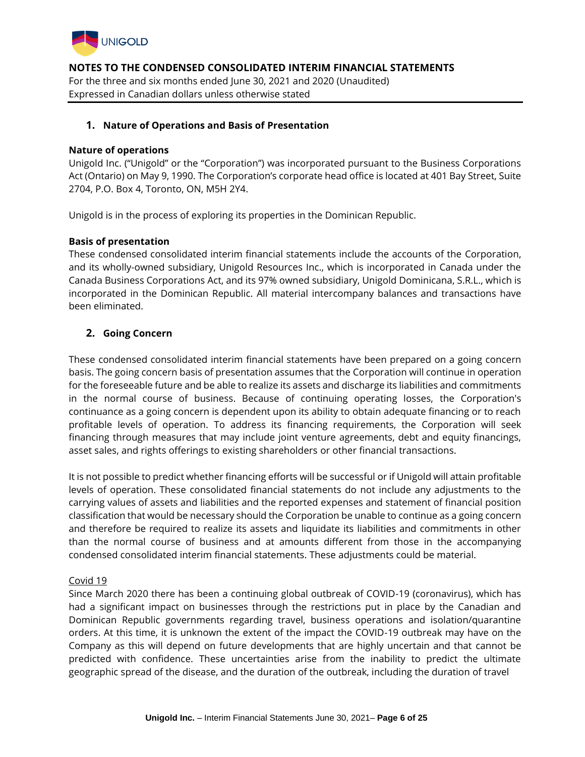

## **1. Nature of Operations and Basis of Presentation**

## **Nature of operations**

Unigold Inc. ("Unigold" or the "Corporation") was incorporated pursuant to the Business Corporations Act (Ontario) on May 9, 1990. The Corporation's corporate head office is located at 401 Bay Street, Suite 2704, P.O. Box 4, Toronto, ON, M5H 2Y4.

Unigold is in the process of exploring its properties in the Dominican Republic.

## **Basis of presentation**

These condensed consolidated interim financial statements include the accounts of the Corporation, and its wholly-owned subsidiary, Unigold Resources Inc., which is incorporated in Canada under the Canada Business Corporations Act, and its 97% owned subsidiary, Unigold Dominicana, S.R.L., which is incorporated in the Dominican Republic. All material intercompany balances and transactions have been eliminated.

# **2. Going Concern**

These condensed consolidated interim financial statements have been prepared on a going concern basis. The going concern basis of presentation assumes that the Corporation will continue in operation for the foreseeable future and be able to realize its assets and discharge its liabilities and commitments in the normal course of business. Because of continuing operating losses, the Corporation's continuance as a going concern is dependent upon its ability to obtain adequate financing or to reach profitable levels of operation. To address its financing requirements, the Corporation will seek financing through measures that may include joint venture agreements, debt and equity financings, asset sales, and rights offerings to existing shareholders or other financial transactions.

It is not possible to predict whether financing efforts will be successful or if Unigold will attain profitable levels of operation. These consolidated financial statements do not include any adjustments to the carrying values of assets and liabilities and the reported expenses and statement of financial position classification that would be necessary should the Corporation be unable to continue as a going concern and therefore be required to realize its assets and liquidate its liabilities and commitments in other than the normal course of business and at amounts different from those in the accompanying condensed consolidated interim financial statements. These adjustments could be material.

#### Covid 19

Since March 2020 there has been a continuing global outbreak of COVID-19 (coronavirus), which has had a significant impact on businesses through the restrictions put in place by the Canadian and Dominican Republic governments regarding travel, business operations and isolation/quarantine orders. At this time, it is unknown the extent of the impact the COVID-19 outbreak may have on the Company as this will depend on future developments that are highly uncertain and that cannot be predicted with confidence. These uncertainties arise from the inability to predict the ultimate geographic spread of the disease, and the duration of the outbreak, including the duration of travel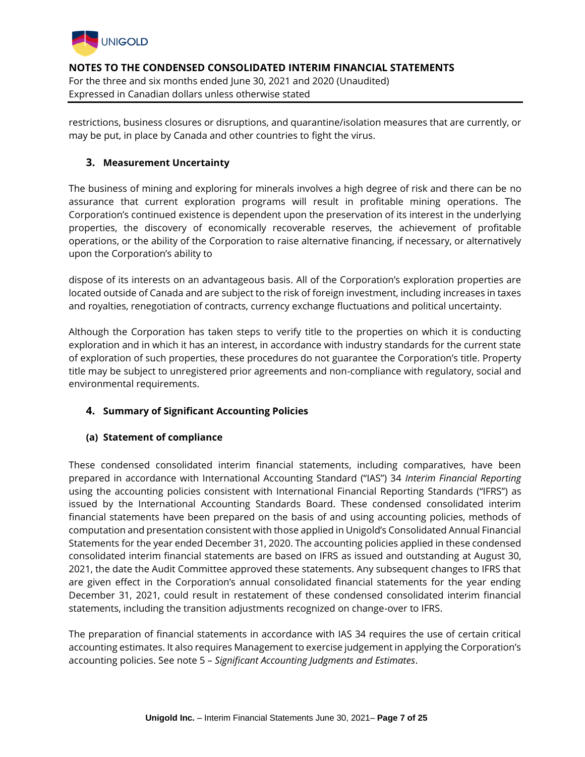

restrictions, business closures or disruptions, and quarantine/isolation measures that are currently, or may be put, in place by Canada and other countries to fight the virus.

# **3. Measurement Uncertainty**

The business of mining and exploring for minerals involves a high degree of risk and there can be no assurance that current exploration programs will result in profitable mining operations. The Corporation's continued existence is dependent upon the preservation of its interest in the underlying properties, the discovery of economically recoverable reserves, the achievement of profitable operations, or the ability of the Corporation to raise alternative financing, if necessary, or alternatively upon the Corporation's ability to

dispose of its interests on an advantageous basis. All of the Corporation's exploration properties are located outside of Canada and are subject to the risk of foreign investment, including increases in taxes and royalties, renegotiation of contracts, currency exchange fluctuations and political uncertainty.

Although the Corporation has taken steps to verify title to the properties on which it is conducting exploration and in which it has an interest, in accordance with industry standards for the current state of exploration of such properties, these procedures do not guarantee the Corporation's title. Property title may be subject to unregistered prior agreements and non-compliance with regulatory, social and environmental requirements.

# **4. Summary of Significant Accounting Policies**

# **(a) Statement of compliance**

These condensed consolidated interim financial statements, including comparatives, have been prepared in accordance with International Accounting Standard ("IAS") 34 *Interim Financial Reporting* using the accounting policies consistent with International Financial Reporting Standards ("IFRS") as issued by the International Accounting Standards Board. These condensed consolidated interim financial statements have been prepared on the basis of and using accounting policies, methods of computation and presentation consistent with those applied in Unigold's Consolidated Annual Financial Statements for the year ended December 31, 2020. The accounting policies applied in these condensed consolidated interim financial statements are based on IFRS as issued and outstanding at August 30, 2021, the date the Audit Committee approved these statements. Any subsequent changes to IFRS that are given effect in the Corporation's annual consolidated financial statements for the year ending December 31, 2021, could result in restatement of these condensed consolidated interim financial statements, including the transition adjustments recognized on change-over to IFRS.

The preparation of financial statements in accordance with IAS 34 requires the use of certain critical accounting estimates. It also requires Management to exercise judgement in applying the Corporation's accounting policies. See note 5 – *Significant Accounting Judgments and Estimates*.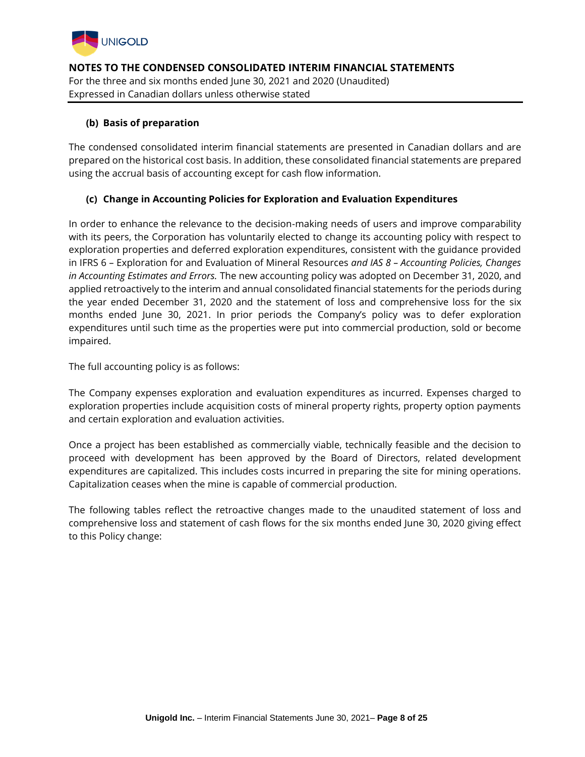

# **(b) Basis of preparation**

The condensed consolidated interim financial statements are presented in Canadian dollars and are prepared on the historical cost basis. In addition, these consolidated financial statements are prepared using the accrual basis of accounting except for cash flow information.

## **(c) Change in Accounting Policies for Exploration and Evaluation Expenditures**

In order to enhance the relevance to the decision-making needs of users and improve comparability with its peers, the Corporation has voluntarily elected to change its accounting policy with respect to exploration properties and deferred exploration expenditures, consistent with the guidance provided in IFRS 6 – Exploration for and Evaluation of Mineral Resources *and IAS 8 – Accounting Policies, Changes in Accounting Estimates and Errors.* The new accounting policy was adopted on December 31, 2020, and applied retroactively to the interim and annual consolidated financial statements for the periods during the year ended December 31, 2020 and the statement of loss and comprehensive loss for the six months ended June 30, 2021. In prior periods the Company's policy was to defer exploration expenditures until such time as the properties were put into commercial production, sold or become impaired.

The full accounting policy is as follows:

The Company expenses exploration and evaluation expenditures as incurred. Expenses charged to exploration properties include acquisition costs of mineral property rights, property option payments and certain exploration and evaluation activities.

Once a project has been established as commercially viable, technically feasible and the decision to proceed with development has been approved by the Board of Directors, related development expenditures are capitalized. This includes costs incurred in preparing the site for mining operations. Capitalization ceases when the mine is capable of commercial production.

The following tables reflect the retroactive changes made to the unaudited statement of loss and comprehensive loss and statement of cash flows for the six months ended June 30, 2020 giving effect to this Policy change: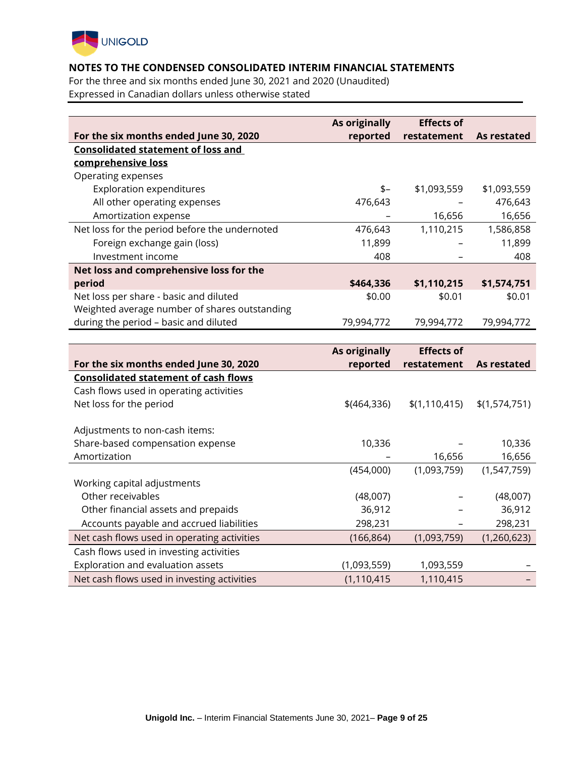

For the three and six months ended June 30, 2021 and 2020 (Unaudited) Expressed in Canadian dollars unless otherwise stated

|                                               | As originally        | <b>Effects of</b> |               |
|-----------------------------------------------|----------------------|-------------------|---------------|
| For the six months ended June 30, 2020        | reported             | restatement       | As restated   |
| <b>Consolidated statement of loss and</b>     |                      |                   |               |
| comprehensive loss                            |                      |                   |               |
| Operating expenses                            |                      |                   |               |
| <b>Exploration expenditures</b>               | \$-                  | \$1,093,559       | \$1,093,559   |
| All other operating expenses                  | 476,643              |                   | 476,643       |
| Amortization expense                          |                      | 16,656            | 16,656        |
| Net loss for the period before the undernoted | 476,643              | 1,110,215         | 1,586,858     |
| Foreign exchange gain (loss)                  | 11,899               |                   | 11,899        |
| Investment income                             | 408                  |                   | 408           |
| Net loss and comprehensive loss for the       |                      |                   |               |
| period                                        | \$464,336            | \$1,110,215       | \$1,574,751   |
| Net loss per share - basic and diluted        | \$0.00               | \$0.01            | \$0.01        |
| Weighted average number of shares outstanding |                      |                   |               |
| during the period - basic and diluted         | 79,994,772           | 79,994,772        | 79,994,772    |
|                                               |                      |                   |               |
|                                               | <b>As originally</b> | <b>Effects of</b> |               |
| For the six months ended June 30, 2020        | reported             | restatement       | As restated   |
| <b>Consolidated statement of cash flows</b>   |                      |                   |               |
| Cash flows used in operating activities       |                      |                   |               |
| Net loss for the period                       | $$$ (464,336)        | \$(1, 110, 415)   | \$(1,574,751) |
|                                               |                      |                   |               |
| Adjustments to non-cash items:                |                      |                   |               |
| Share-based compensation expense              | 10,336               |                   | 10,336        |
| Amortization                                  |                      | 16,656            | 16,656        |
|                                               | (454,000)            | (1,093,759)       | (1, 547, 759) |
| Working capital adjustments                   |                      |                   |               |
| Other receivables                             | (48,007)             |                   | (48,007)      |
| Other financial assets and prepaids           | 36,912               |                   | 36,912        |
| Accounts payable and accrued liabilities      | 298,231              |                   | 298,231       |

| , cooding payable and accruca habilities    | -----         |             | -----       |
|---------------------------------------------|---------------|-------------|-------------|
| Net cash flows used in operating activities | (166, 864)    | (1,093,759) | (1,260,623) |
| Cash flows used in investing activities     |               |             |             |
| Exploration and evaluation assets           | (1,093,559)   | 1,093,559   |             |
| Net cash flows used in investing activities | (1, 110, 415) | 1,110,415   |             |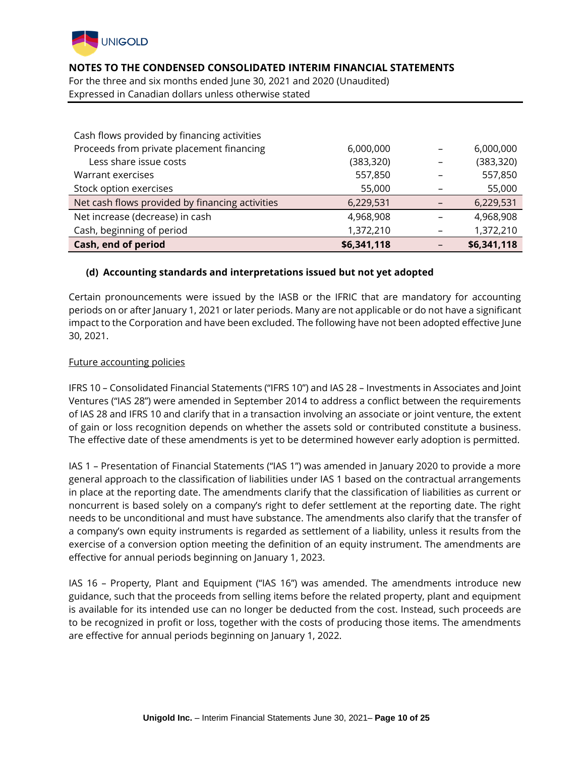

For the three and six months ended June 30, 2021 and 2020 (Unaudited) Expressed in Canadian dollars unless otherwise stated

| Cash flows provided by financing activities     |             |             |
|-------------------------------------------------|-------------|-------------|
| Proceeds from private placement financing       | 6,000,000   | 6,000,000   |
| Less share issue costs                          | (383, 320)  | (383, 320)  |
| Warrant exercises                               | 557,850     | 557,850     |
| Stock option exercises                          | 55,000      | 55,000      |
| Net cash flows provided by financing activities | 6,229,531   | 6,229,531   |
| Net increase (decrease) in cash                 | 4,968,908   | 4,968,908   |
| Cash, beginning of period                       | 1,372,210   | 1,372,210   |
| Cash, end of period                             | \$6,341,118 | \$6,341,118 |

#### **(d) Accounting standards and interpretations issued but not yet adopted**

Certain pronouncements were issued by the IASB or the IFRIC that are mandatory for accounting periods on or after January 1, 2021 or later periods. Many are not applicable or do not have a significant impact to the Corporation and have been excluded. The following have not been adopted effective June 30, 2021.

#### Future accounting policies

IFRS 10 – Consolidated Financial Statements ("IFRS 10") and IAS 28 – Investments in Associates and Joint Ventures ("IAS 28") were amended in September 2014 to address a conflict between the requirements of IAS 28 and IFRS 10 and clarify that in a transaction involving an associate or joint venture, the extent of gain or loss recognition depends on whether the assets sold or contributed constitute a business. The effective date of these amendments is yet to be determined however early adoption is permitted.

IAS 1 – Presentation of Financial Statements ("IAS 1") was amended in January 2020 to provide a more general approach to the classification of liabilities under IAS 1 based on the contractual arrangements in place at the reporting date. The amendments clarify that the classification of liabilities as current or noncurrent is based solely on a company's right to defer settlement at the reporting date. The right needs to be unconditional and must have substance. The amendments also clarify that the transfer of a company's own equity instruments is regarded as settlement of a liability, unless it results from the exercise of a conversion option meeting the definition of an equity instrument. The amendments are effective for annual periods beginning on January 1, 2023.

IAS 16 – Property, Plant and Equipment ("IAS 16") was amended. The amendments introduce new guidance, such that the proceeds from selling items before the related property, plant and equipment is available for its intended use can no longer be deducted from the cost. Instead, such proceeds are to be recognized in profit or loss, together with the costs of producing those items. The amendments are effective for annual periods beginning on January 1, 2022.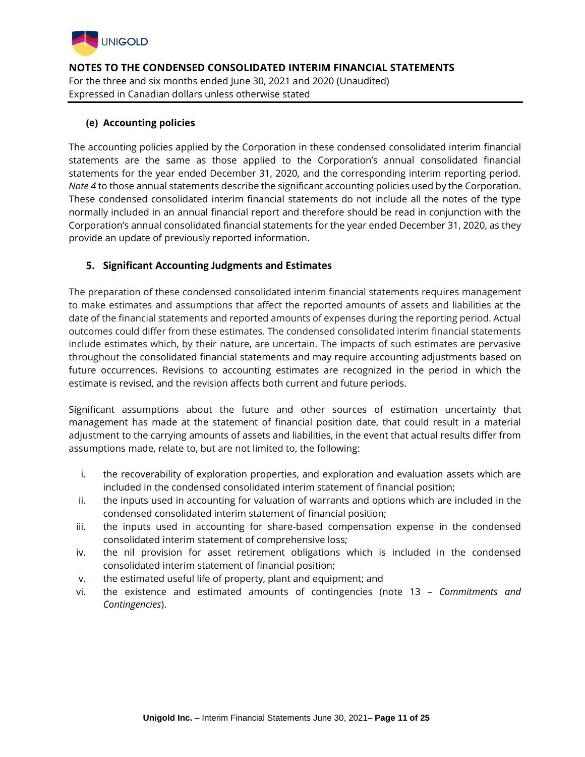

# **(e) Accounting policies**

The accounting policies applied by the Corporation in these condensed consolidated interim financial statements are the same as those applied to the Corporation's annual consolidated financial statements for the year ended December 31, 2020, and the corresponding interim reporting period. *Note 4* to those annual statements describe the significant accounting policies used by the Corporation. These condensed consolidated interim financial statements do not include all the notes of the type normally included in an annual financial report and therefore should be read in conjunction with the Corporation's annual consolidated financial statements for the year ended December 31, 2020, as they provide an update of previously reported information.

# **5. Significant Accounting Judgments and Estimates**

The preparation of these condensed consolidated interim financial statements requires management to make estimates and assumptions that affect the reported amounts of assets and liabilities at the date of the financial statements and reported amounts of expenses during the reporting period. Actual outcomes could differ from these estimates. The condensed consolidated interim financial statements include estimates which, by their nature, are uncertain. The impacts of such estimates are pervasive throughout the consolidated financial statements and may require accounting adjustments based on future occurrences. Revisions to accounting estimates are recognized in the period in which the estimate is revised, and the revision affects both current and future periods.

Significant assumptions about the future and other sources of estimation uncertainty that management has made at the statement of financial position date, that could result in a material adjustment to the carrying amounts of assets and liabilities, in the event that actual results differ from assumptions made, relate to, but are not limited to, the following:

- i. the recoverability of exploration properties, and exploration and evaluation assets which are included in the condensed consolidated interim statement of financial position;
- ii. the inputs used in accounting for valuation of warrants and options which are included in the condensed consolidated interim statement of financial position;
- iii. the inputs used in accounting for share-based compensation expense in the condensed consolidated interim statement of comprehensive loss;
- iv. the nil provision for asset retirement obligations which is included in the condensed consolidated interim statement of financial position;
- v. the estimated useful life of property, plant and equipment; and
- vi. the existence and estimated amounts of contingencies (note 13 *Commitments and Contingencies*).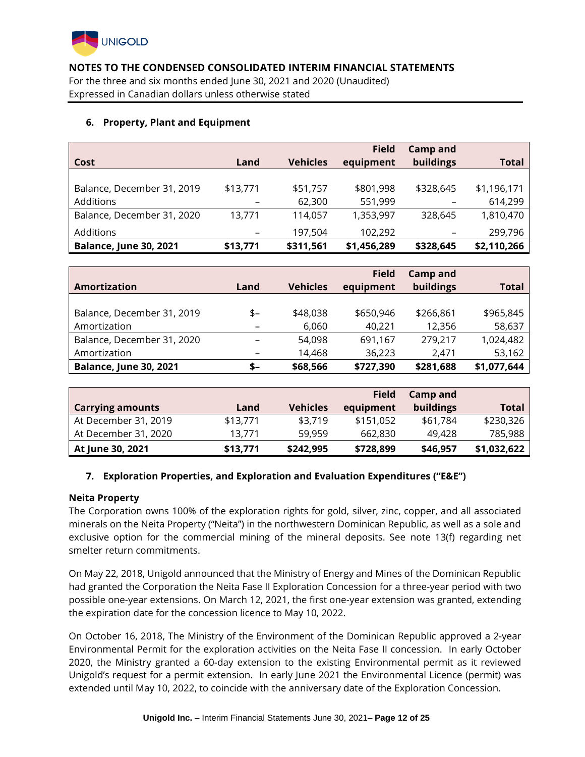

For the three and six months ended June 30, 2021 and 2020 (Unaudited) Expressed in Canadian dollars unless otherwise stated

## **6. Property, Plant and Equipment**

|                               |          |                 | <b>Field</b> | Camp and        |              |
|-------------------------------|----------|-----------------|--------------|-----------------|--------------|
| Cost                          | Land     | <b>Vehicles</b> | equipment    | buildings       | <b>Total</b> |
|                               |          |                 |              |                 |              |
| Balance, December 31, 2019    | \$13,771 | \$51,757        | \$801,998    | \$328,645       | \$1,196,171  |
| Additions                     | -        | 62,300          | 551,999      | -               | 614,299      |
| Balance, December 31, 2020    | 13,771   | 114,057         | 1,353,997    | 328,645         | 1,810,470    |
| Additions                     | -        | 197,504         | 102,292      | $\qquad \qquad$ | 299,796      |
| <b>Balance, June 30, 2021</b> | \$13,771 | \$311,561       | \$1,456,289  | \$328,645       | \$2,110,266  |

|                               |                          |                 | <b>Field</b> | <b>Camp and</b> |             |
|-------------------------------|--------------------------|-----------------|--------------|-----------------|-------------|
| Amortization                  | Land                     | <b>Vehicles</b> | equipment    | buildings       | Total       |
|                               |                          |                 |              |                 |             |
| Balance, December 31, 2019    | $$-$                     | \$48,038        | \$650,946    | \$266,861       | \$965,845   |
| Amortization                  |                          | 6,060           | 40,221       | 12,356          | 58,637      |
| Balance, December 31, 2020    |                          | 54,098          | 691,167      | 279,217         | 1,024,482   |
| Amortization                  | $\overline{\phantom{0}}$ | 14,468          | 36,223       | 2,471           | 53,162      |
| <b>Balance, June 30, 2021</b> | \$–                      | \$68,566        | \$727,390    | \$281,688       | \$1,077,644 |

|                         |          |           | <b>Field</b> | Camp and  |              |
|-------------------------|----------|-----------|--------------|-----------|--------------|
| <b>Carrying amounts</b> | Land     | Vehicles  | equipment    | buildings | <b>Total</b> |
| At December 31, 2019    | \$13,771 | \$3,719   | \$151,052    | \$61,784  | \$230,326    |
| At December 31, 2020    | 13.771   | 59,959    | 662,830      | 49.428    | 785,988      |
| At June 30, 2021        | \$13,771 | \$242,995 | \$728,899    | \$46,957  | \$1,032,622  |

# **7. Exploration Properties, and Exploration and Evaluation Expenditures ("E&E")**

#### **Neita Property**

The Corporation owns 100% of the exploration rights for gold, silver, zinc, copper, and all associated minerals on the Neita Property ("Neita") in the northwestern Dominican Republic, as well as a sole and exclusive option for the commercial mining of the mineral deposits. See note 13(f) regarding net smelter return commitments.

On May 22, 2018, Unigold announced that the Ministry of Energy and Mines of the Dominican Republic had granted the Corporation the Neita Fase II Exploration Concession for a three-year period with two possible one-year extensions. On March 12, 2021, the first one-year extension was granted, extending the expiration date for the concession licence to May 10, 2022.

On October 16, 2018, The Ministry of the Environment of the Dominican Republic approved a 2-year Environmental Permit for the exploration activities on the Neita Fase II concession. In early October 2020, the Ministry granted a 60-day extension to the existing Environmental permit as it reviewed Unigold's request for a permit extension. In early June 2021 the Environmental Licence (permit) was extended until May 10, 2022, to coincide with the anniversary date of the Exploration Concession.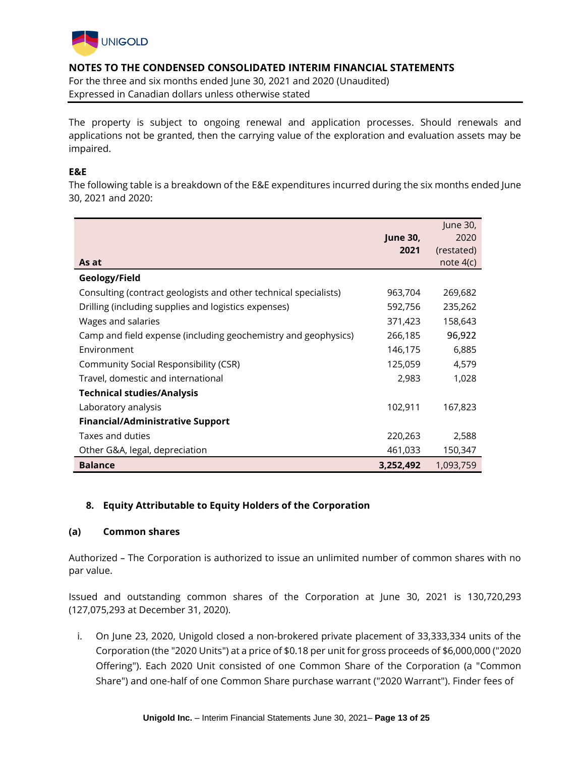

For the three and six months ended June 30, 2021 and 2020 (Unaudited) Expressed in Canadian dollars unless otherwise stated

The property is subject to ongoing renewal and application processes. Should renewals and applications not be granted, then the carrying value of the exploration and evaluation assets may be impaired.

## **E&E**

The following table is a breakdown of the E&E expenditures incurred during the six months ended June 30, 2021 and 2020:

| As at                                                            | <b>June 30,</b><br>2021 | June 30,<br>2020<br>(restated)<br>note $4(c)$ |
|------------------------------------------------------------------|-------------------------|-----------------------------------------------|
| Geology/Field                                                    |                         |                                               |
| Consulting (contract geologists and other technical specialists) | 963,704                 | 269,682                                       |
| Drilling (including supplies and logistics expenses)             | 592,756                 | 235,262                                       |
| Wages and salaries                                               | 371,423                 | 158,643                                       |
| Camp and field expense (including geochemistry and geophysics)   | 266,185                 | 96,922                                        |
| Environment                                                      | 146,175                 | 6,885                                         |
| Community Social Responsibility (CSR)                            | 125,059                 | 4,579                                         |
| Travel, domestic and international                               | 2,983                   | 1,028                                         |
| <b>Technical studies/Analysis</b>                                |                         |                                               |
| Laboratory analysis                                              | 102,911                 | 167,823                                       |
| <b>Financial/Administrative Support</b>                          |                         |                                               |
| Taxes and duties                                                 | 220,263                 | 2,588                                         |
| Other G&A, legal, depreciation                                   | 461,033                 | 150,347                                       |
| <b>Balance</b>                                                   | 3,252,492               | 1,093,759                                     |

# **8. Equity Attributable to Equity Holders of the Corporation**

#### **(a) Common shares**

Authorized *–* The Corporation is authorized to issue an unlimited number of common shares with no par value.

Issued and outstanding common shares of the Corporation at June 30, 2021 is 130,720,293 (127,075,293 at December 31, 2020).

i. On June 23, 2020, Unigold closed a non-brokered private placement of 33,333,334 units of the Corporation (the "2020 Units") at a price of \$0.18 per unit for gross proceeds of \$6,000,000 ("2020 Offering"). Each 2020 Unit consisted of one Common Share of the Corporation (a "Common Share") and one-half of one Common Share purchase warrant ("2020 Warrant"). Finder fees of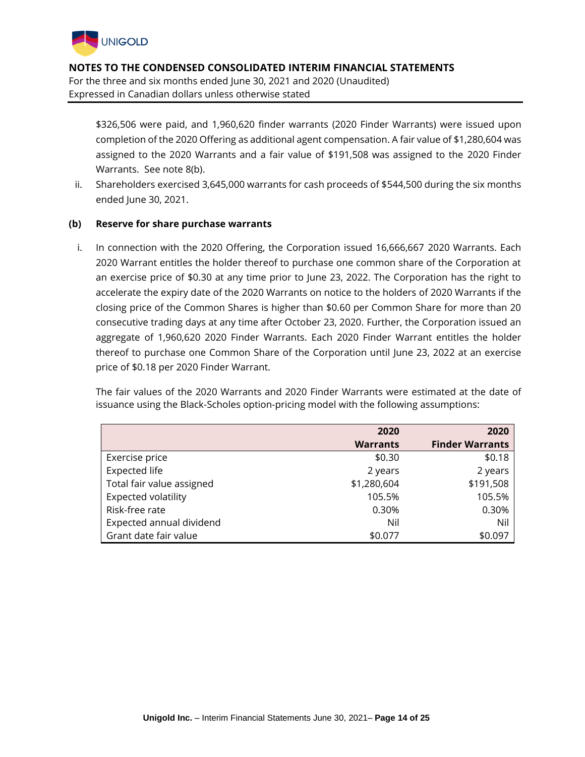

\$326,506 were paid, and 1,960,620 finder warrants (2020 Finder Warrants) were issued upon completion of the 2020 Offering as additional agent compensation. A fair value of \$1,280,604 was assigned to the 2020 Warrants and a fair value of \$191,508 was assigned to the 2020 Finder Warrants. See note 8(b).

ii. Shareholders exercised 3,645,000 warrants for cash proceeds of \$544,500 during the six months ended June 30, 2021.

## **(b) Reserve for share purchase warrants**

i. In connection with the 2020 Offering, the Corporation issued 16,666,667 2020 Warrants. Each 2020 Warrant entitles the holder thereof to purchase one common share of the Corporation at an exercise price of \$0.30 at any time prior to June 23, 2022. The Corporation has the right to accelerate the expiry date of the 2020 Warrants on notice to the holders of 2020 Warrants if the closing price of the Common Shares is higher than \$0.60 per Common Share for more than 20 consecutive trading days at any time after October 23, 2020. Further, the Corporation issued an aggregate of 1,960,620 2020 Finder Warrants. Each 2020 Finder Warrant entitles the holder thereof to purchase one Common Share of the Corporation until June 23, 2022 at an exercise price of \$0.18 per 2020 Finder Warrant.

The fair values of the 2020 Warrants and 2020 Finder Warrants were estimated at the date of issuance using the Black-Scholes option-pricing model with the following assumptions:

|                           | 2020            | 2020                   |
|---------------------------|-----------------|------------------------|
|                           | <b>Warrants</b> | <b>Finder Warrants</b> |
| Exercise price            | \$0.30          | \$0.18                 |
| <b>Expected life</b>      | 2 years         | 2 years                |
| Total fair value assigned | \$1,280,604     | \$191,508              |
| Expected volatility       | 105.5%          | 105.5%                 |
| Risk-free rate            | 0.30%           | 0.30%                  |
| Expected annual dividend  | Nil             | Nil                    |
| Grant date fair value     | \$0.077         | \$0.097                |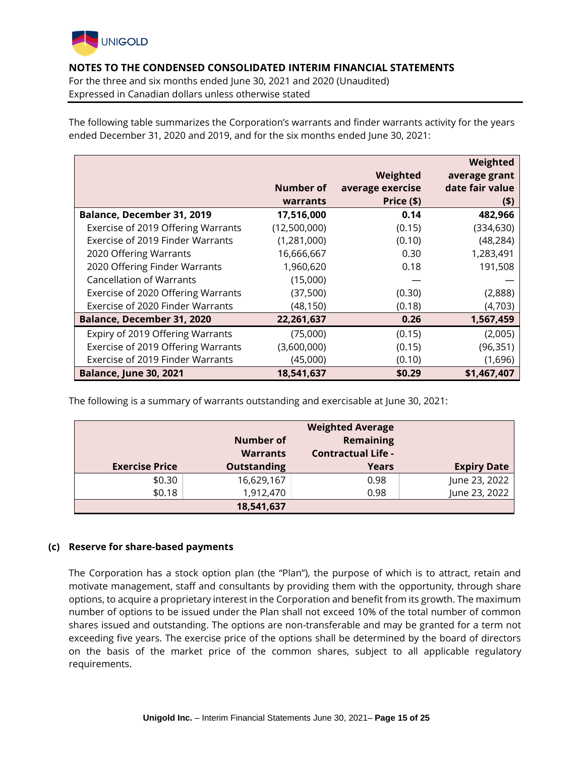

For the three and six months ended June 30, 2021 and 2020 (Unaudited) Expressed in Canadian dollars unless otherwise stated

The following table summarizes the Corporation's warrants and finder warrants activity for the years ended December 31, 2020 and 2019, and for the six months ended June 30, 2021:

|                                    |              |                  | Weighted        |
|------------------------------------|--------------|------------------|-----------------|
|                                    |              | Weighted         | average grant   |
|                                    | Number of    | average exercise | date fair value |
|                                    | warrants     | Price (\$)       | (5)             |
| Balance, December 31, 2019         | 17,516,000   | 0.14             | 482,966         |
| Exercise of 2019 Offering Warrants | (12,500,000) | (0.15)           | (334, 630)      |
| Exercise of 2019 Finder Warrants   | (1,281,000)  | (0.10)           | (48, 284)       |
| 2020 Offering Warrants             | 16,666,667   | 0.30             | 1,283,491       |
| 2020 Offering Finder Warrants      | 1,960,620    | 0.18             | 191,508         |
| <b>Cancellation of Warrants</b>    | (15,000)     |                  |                 |
| Exercise of 2020 Offering Warrants | (37,500)     | (0.30)           | (2,888)         |
| Exercise of 2020 Finder Warrants   | (48,150)     | (0.18)           | (4,703)         |
| <b>Balance, December 31, 2020</b>  | 22,261,637   | 0.26             | 1,567,459       |
| Expiry of 2019 Offering Warrants   | (75,000)     | (0.15)           | (2,005)         |
| Exercise of 2019 Offering Warrants | (3,600,000)  | (0.15)           | (96, 351)       |
| Exercise of 2019 Finder Warrants   | (45,000)     | (0.10)           | (1,696)         |
| <b>Balance, June 30, 2021</b>      | 18,541,637   | \$0.29           | \$1,467,407     |

The following is a summary of warrants outstanding and exercisable at June 30, 2021:

|                       |                              | <b>Weighted Average</b>                |                    |
|-----------------------|------------------------------|----------------------------------------|--------------------|
|                       | Number of<br><b>Warrants</b> | Remaining<br><b>Contractual Life -</b> |                    |
|                       |                              |                                        |                    |
| <b>Exercise Price</b> | <b>Outstanding</b>           | Years                                  | <b>Expiry Date</b> |
| \$0.30                | 16,629,167                   | 0.98                                   | June 23, 2022      |
| \$0.18                | 1,912,470                    | 0.98                                   | June 23, 2022      |
|                       | 18,541,637                   |                                        |                    |

# **(c) Reserve for share-based payments**

The Corporation has a stock option plan (the "Plan"), the purpose of which is to attract, retain and motivate management, staff and consultants by providing them with the opportunity, through share options, to acquire a proprietary interest in the Corporation and benefit from its growth. The maximum number of options to be issued under the Plan shall not exceed 10% of the total number of common shares issued and outstanding. The options are non-transferable and may be granted for a term not exceeding five years. The exercise price of the options shall be determined by the board of directors on the basis of the market price of the common shares, subject to all applicable regulatory requirements.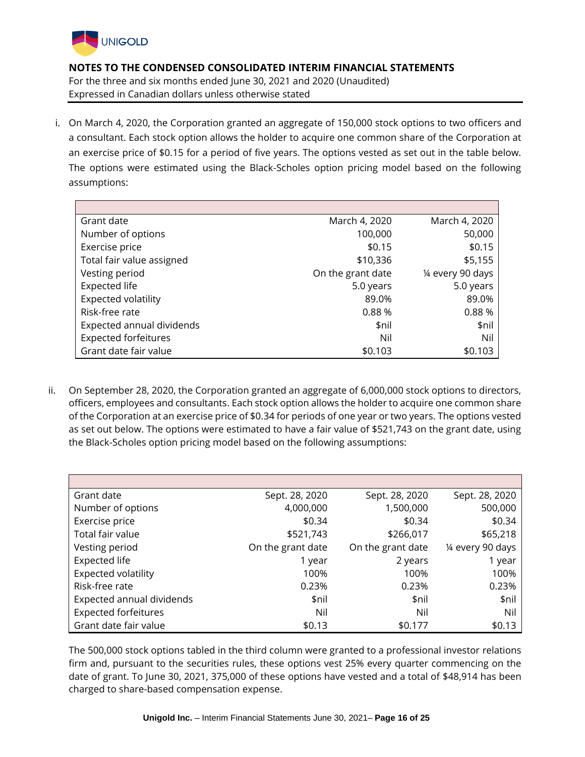

i. On March 4, 2020, the Corporation granted an aggregate of 150,000 stock options to two officers and a consultant. Each stock option allows the holder to acquire one common share of the Corporation at an exercise price of \$0.15 for a period of five years. The options vested as set out in the table below. The options were estimated using the Black-Scholes option pricing model based on the following assumptions:

| Grant date                  | March 4, 2020     | March 4, 2020     |
|-----------------------------|-------------------|-------------------|
| Number of options           | 100,000           | 50,000            |
| Exercise price              | \$0.15            | \$0.15            |
| Total fair value assigned   | \$10,336          | \$5,155           |
| Vesting period              | On the grant date | 1/4 every 90 days |
| <b>Expected life</b>        | 5.0 years         | 5.0 years         |
| Expected volatility         | 89.0%             | 89.0%             |
| Risk-free rate              | 0.88%             | 0.88%             |
| Expected annual dividends   | \$nil             | \$nil             |
| <b>Expected forfeitures</b> | Nil               | Nil               |
| Grant date fair value       | \$0.103           | \$0.103           |

ii. On September 28, 2020, the Corporation granted an aggregate of 6,000,000 stock options to directors, officers, employees and consultants. Each stock option allows the holder to acquire one common share of the Corporation at an exercise price of \$0.34 for periods of one year or two years. The options vested as set out below. The options were estimated to have a fair value of \$521,743 on the grant date, using the Black-Scholes option pricing model based on the following assumptions:

| Grant date                  | Sept. 28, 2020    | Sept. 28, 2020    | Sept. 28, 2020    |
|-----------------------------|-------------------|-------------------|-------------------|
| Number of options           | 4,000,000         | 1,500,000         | 500,000           |
| Exercise price              | \$0.34            | \$0.34            | \$0.34            |
| Total fair value            | \$521,743         | \$266,017         | \$65,218          |
| Vesting period              | On the grant date | On the grant date | 1⁄4 every 90 days |
| <b>Expected life</b>        | 1 year            | 2 years           | 1 year            |
| <b>Expected volatility</b>  | 100%              | 100%              | 100%              |
| Risk-free rate              | 0.23%             | 0.23%             | 0.23%             |
| Expected annual dividends   | \$nil             | \$nil             | \$nil             |
| <b>Expected forfeitures</b> | Nil               | Nil               | Nil               |
| Grant date fair value       | \$0.13            | \$0.177           | \$0.13            |

The 500,000 stock options tabled in the third column were granted to a professional investor relations firm and, pursuant to the securities rules, these options vest 25% every quarter commencing on the date of grant. To June 30, 2021, 375,000 of these options have vested and a total of \$48,914 has been charged to share-based compensation expense.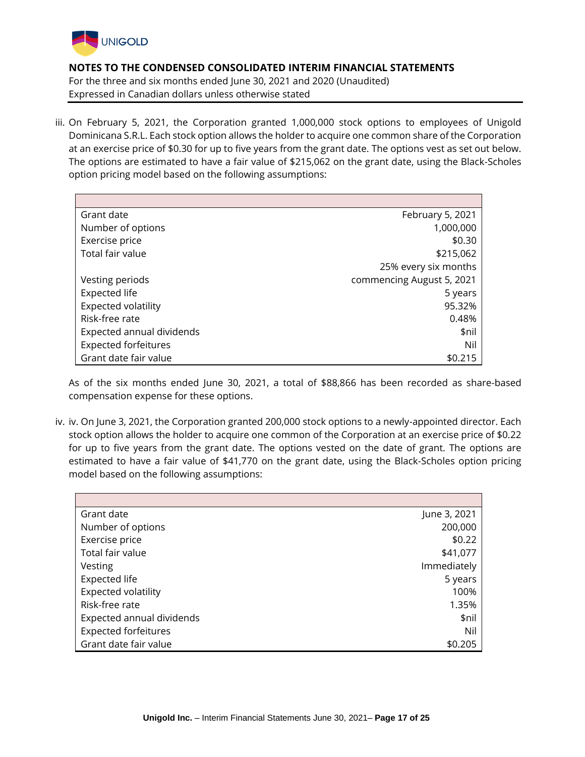

iii. On February 5, 2021, the Corporation granted 1,000,000 stock options to employees of Unigold Dominicana S.R.L. Each stock option allows the holder to acquire one common share of the Corporation at an exercise price of \$0.30 for up to five years from the grant date. The options vest as set out below. The options are estimated to have a fair value of \$215,062 on the grant date, using the Black-Scholes option pricing model based on the following assumptions:

| Grant date                  | February 5, 2021          |
|-----------------------------|---------------------------|
| Number of options           | 1,000,000                 |
| Exercise price              | \$0.30                    |
| Total fair value            | \$215,062                 |
|                             | 25% every six months      |
| Vesting periods             | commencing August 5, 2021 |
| <b>Expected life</b>        | 5 years                   |
| Expected volatility         | 95.32%                    |
| Risk-free rate              | 0.48%                     |
| Expected annual dividends   | \$nil                     |
| <b>Expected forfeitures</b> | Nil                       |
| Grant date fair value       | \$0.215                   |

As of the six months ended June 30, 2021, a total of \$88,866 has been recorded as share-based compensation expense for these options.

iv. iv. On June 3, 2021, the Corporation granted 200,000 stock options to a newly-appointed director. Each stock option allows the holder to acquire one common of the Corporation at an exercise price of \$0.22 for up to five years from the grant date. The options vested on the date of grant. The options are estimated to have a fair value of \$41,770 on the grant date, using the Black-Scholes option pricing model based on the following assumptions:

| Grant date                  | June 3, 2021 |
|-----------------------------|--------------|
| Number of options           | 200,000      |
| Exercise price              | \$0.22       |
| Total fair value            | \$41,077     |
| Vesting                     | Immediately  |
| <b>Expected life</b>        | 5 years      |
| Expected volatility         | 100%         |
| Risk-free rate              | 1.35%        |
| Expected annual dividends   | \$nil        |
| <b>Expected forfeitures</b> | Nil          |
| Grant date fair value       | \$0.205      |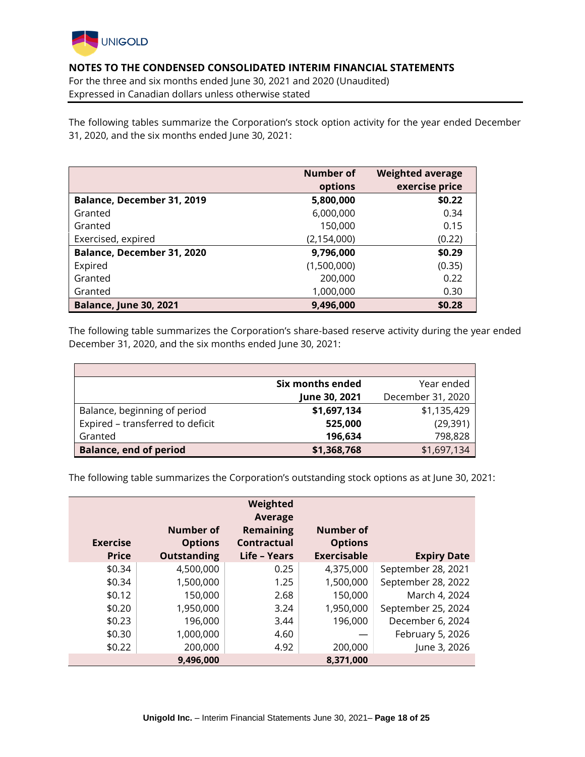

For the three and six months ended June 30, 2021 and 2020 (Unaudited) Expressed in Canadian dollars unless otherwise stated

The following tables summarize the Corporation's stock option activity for the year ended December 31, 2020, and the six months ended June 30, 2021:

|                                   | Number of     | <b>Weighted average</b> |
|-----------------------------------|---------------|-------------------------|
|                                   | options       | exercise price          |
| <b>Balance, December 31, 2019</b> | 5,800,000     | \$0.22                  |
| Granted                           | 6,000,000     | 0.34                    |
| Granted                           | 150,000       | 0.15                    |
| Exercised, expired                | (2, 154, 000) | (0.22)                  |
| Balance, December 31, 2020        | 9,796,000     | \$0.29                  |
| Expired                           | (1,500,000)   | (0.35)                  |
| Granted                           | 200,000       | 0.22                    |
| Granted                           | 1,000,000     | 0.30                    |
| <b>Balance, June 30, 2021</b>     | 9,496,000     | \$0.28                  |

The following table summarizes the Corporation's share-based reserve activity during the year ended December 31, 2020, and the six months ended June 30, 2021:

|                                  | Six months ended | Year ended        |
|----------------------------------|------------------|-------------------|
|                                  | June 30, 2021    | December 31, 2020 |
| Balance, beginning of period     | \$1,697,134      | \$1,135,429       |
| Expired - transferred to deficit | 525,000          | (29, 391)         |
| Granted                          | 196,634          | 798,828           |
| <b>Balance, end of period</b>    | \$1,368,768      | \$1,697,134       |

The following table summarizes the Corporation's outstanding stock options as at June 30, 2021:

| <b>Exercise</b> | <b>Number of</b>                     | Weighted<br><b>Average</b><br><b>Remaining</b> | Number of                            |                    |
|-----------------|--------------------------------------|------------------------------------------------|--------------------------------------|--------------------|
| <b>Price</b>    | <b>Options</b><br><b>Outstanding</b> | Contractual<br>Life - Years                    | <b>Options</b><br><b>Exercisable</b> | <b>Expiry Date</b> |
| \$0.34          | 4,500,000                            | 0.25                                           | 4,375,000                            | September 28, 2021 |
| \$0.34          | 1,500,000                            | 1.25                                           | 1,500,000                            | September 28, 2022 |
| \$0.12          | 150,000                              | 2.68                                           | 150,000                              | March 4, 2024      |
| \$0.20          | 1,950,000                            | 3.24                                           | 1,950,000                            | September 25, 2024 |
| \$0.23          | 196,000                              | 3.44                                           | 196,000                              | December 6, 2024   |
| \$0.30          | 1,000,000                            | 4.60                                           |                                      | February 5, 2026   |
| \$0.22          | 200,000                              | 4.92                                           | 200,000                              | June 3, 2026       |
|                 | 9,496,000                            |                                                | 8,371,000                            |                    |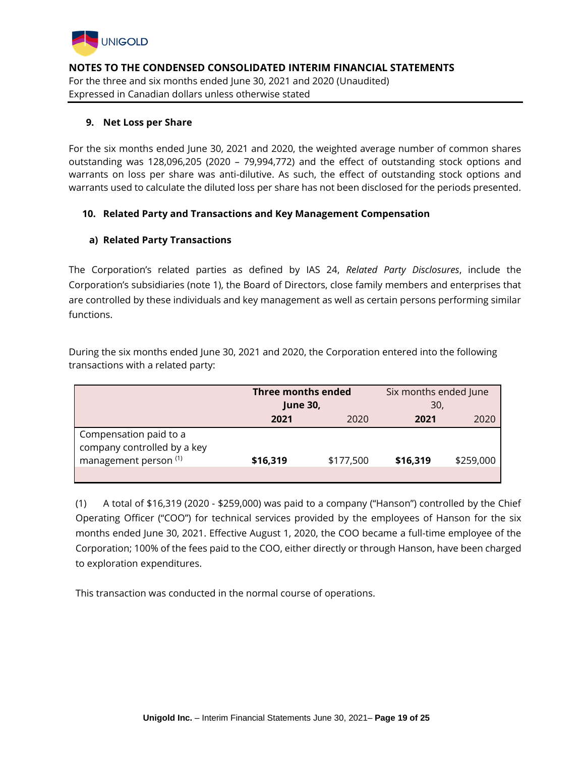

## **9. Net Loss per Share**

For the six months ended June 30, 2021 and 2020, the weighted average number of common shares outstanding was 128,096,205 (2020 – 79,994,772) and the effect of outstanding stock options and warrants on loss per share was anti-dilutive. As such, the effect of outstanding stock options and warrants used to calculate the diluted loss per share has not been disclosed for the periods presented.

## **10. Related Party and Transactions and Key Management Compensation**

## **a) Related Party Transactions**

The Corporation's related parties as defined by IAS 24, *Related Party Disclosures*, include the Corporation's subsidiaries (note 1), the Board of Directors, close family members and enterprises that are controlled by these individuals and key management as well as certain persons performing similar functions.

During the six months ended June 30, 2021 and 2020, the Corporation entered into the following transactions with a related party:

|                                                                                           | <b>Three months ended</b> |           | Six months ended June |           |
|-------------------------------------------------------------------------------------------|---------------------------|-----------|-----------------------|-----------|
|                                                                                           | <b>June 30,</b>           |           | 30,                   |           |
|                                                                                           | 2021                      | 2020      | 2021                  | 2020      |
| Compensation paid to a<br>company controlled by a key<br>management person <sup>(1)</sup> | \$16,319                  | \$177,500 | \$16,319              | \$259,000 |

(1) A total of \$16,319 (2020 - \$259,000) was paid to a company ("Hanson") controlled by the Chief Operating Officer ("COO") for technical services provided by the employees of Hanson for the six months ended June 30, 2021. Effective August 1, 2020, the COO became a full-time employee of the Corporation; 100% of the fees paid to the COO, either directly or through Hanson, have been charged to exploration expenditures.

This transaction was conducted in the normal course of operations.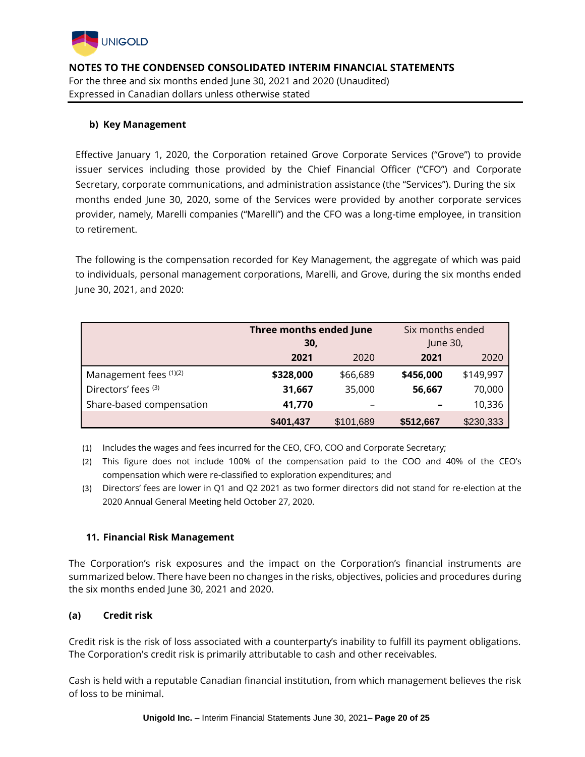

# **b) Key Management**

Effective January 1, 2020, the Corporation retained Grove Corporate Services ("Grove") to provide issuer services including those provided by the Chief Financial Officer ("CFO") and Corporate Secretary, corporate communications, and administration assistance (the "Services"). During the six months ended June 30, 2020, some of the Services were provided by another corporate services provider, namely, Marelli companies ("Marelli") and the CFO was a long-time employee, in transition to retirement.

The following is the compensation recorded for Key Management, the aggregate of which was paid to individuals, personal management corporations, Marelli, and Grove, during the six months ended June 30, 2021, and 2020:

|                          | Three months ended June |           | Six months ended |           |  |
|--------------------------|-------------------------|-----------|------------------|-----------|--|
|                          | 30,                     |           | June 30,         |           |  |
|                          | 2021                    | 2020      | 2021             | 2020      |  |
| Management fees (1)(2)   | \$328,000               | \$66,689  | \$456,000        | \$149,997 |  |
| Directors' fees (3)      | 31,667                  | 35,000    | 56,667           | 70,000    |  |
| Share-based compensation | 41,770                  |           |                  | 10,336    |  |
|                          | \$401,437               | \$101,689 | \$512,667        | \$230,333 |  |

(1) Includes the wages and fees incurred for the CEO, CFO, COO and Corporate Secretary;

- (2) This figure does not include 100% of the compensation paid to the COO and 40% of the CEO's compensation which were re-classified to exploration expenditures; and
- (3) Directors' fees are lower in Q1 and Q2 2021 as two former directors did not stand for re-election at the 2020 Annual General Meeting held October 27, 2020.

# **11. Financial Risk Management**

The Corporation's risk exposures and the impact on the Corporation's financial instruments are summarized below. There have been no changes in the risks, objectives, policies and procedures during the six months ended June 30, 2021 and 2020.

# **(a) Credit risk**

Credit risk is the risk of loss associated with a counterparty's inability to fulfill its payment obligations. The Corporation's credit risk is primarily attributable to cash and other receivables.

Cash is held with a reputable Canadian financial institution, from which management believes the risk of loss to be minimal.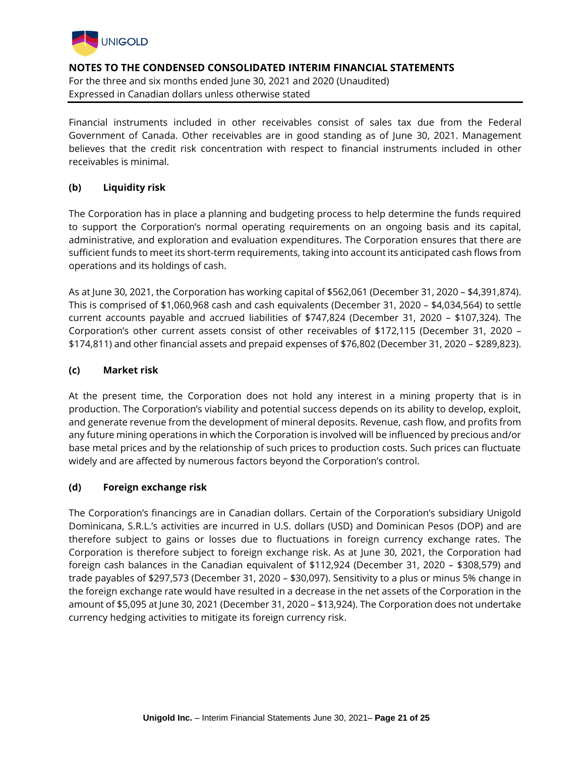

Financial instruments included in other receivables consist of sales tax due from the Federal Government of Canada. Other receivables are in good standing as of June 30, 2021. Management believes that the credit risk concentration with respect to financial instruments included in other receivables is minimal.

## **(b) Liquidity risk**

The Corporation has in place a planning and budgeting process to help determine the funds required to support the Corporation's normal operating requirements on an ongoing basis and its capital, administrative, and exploration and evaluation expenditures. The Corporation ensures that there are sufficient funds to meet its short-term requirements, taking into account its anticipated cash flows from operations and its holdings of cash.

As at June 30, 2021, the Corporation has working capital of \$562,061 (December 31, 2020 – \$4,391,874). This is comprised of \$1,060,968 cash and cash equivalents (December 31, 2020 – \$4,034,564) to settle current accounts payable and accrued liabilities of \$747,824 (December 31, 2020 – \$107,324). The Corporation's other current assets consist of other receivables of \$172,115 (December 31, 2020 – \$174,811) and other financial assets and prepaid expenses of \$76,802 (December 31, 2020 – \$289,823).

#### **(c) Market risk**

At the present time, the Corporation does not hold any interest in a mining property that is in production. The Corporation's viability and potential success depends on its ability to develop, exploit, and generate revenue from the development of mineral deposits. Revenue, cash flow, and profits from any future mining operations in which the Corporation is involved will be influenced by precious and/or base metal prices and by the relationship of such prices to production costs. Such prices can fluctuate widely and are affected by numerous factors beyond the Corporation's control.

#### **(d) Foreign exchange risk**

The Corporation's financings are in Canadian dollars. Certain of the Corporation's subsidiary Unigold Dominicana, S.R.L.'s activities are incurred in U.S. dollars (USD) and Dominican Pesos (DOP) and are therefore subject to gains or losses due to fluctuations in foreign currency exchange rates. The Corporation is therefore subject to foreign exchange risk. As at June 30, 2021, the Corporation had foreign cash balances in the Canadian equivalent of \$112,924 (December 31, 2020 – \$308,579) and trade payables of \$297,573 (December 31, 2020 – \$30,097). Sensitivity to a plus or minus 5% change in the foreign exchange rate would have resulted in a decrease in the net assets of the Corporation in the amount of \$5,095 at June 30, 2021 (December 31, 2020 – \$13,924). The Corporation does not undertake currency hedging activities to mitigate its foreign currency risk.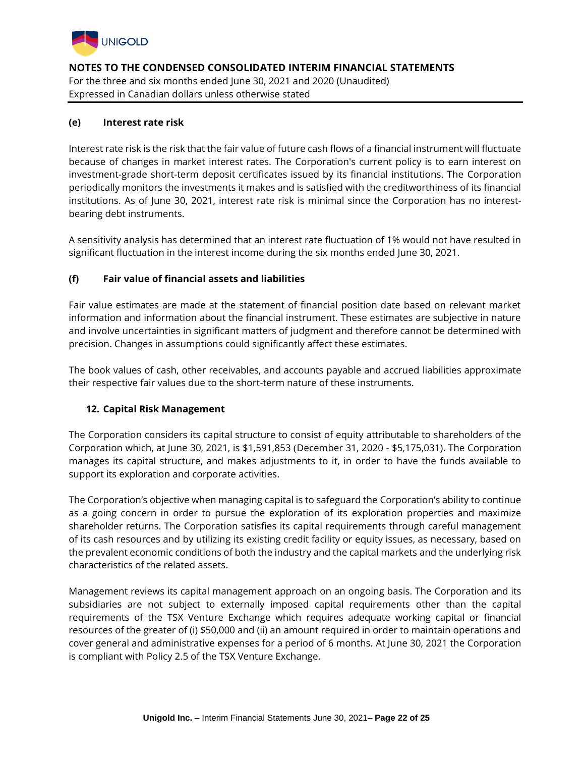

## **(e) Interest rate risk**

Interest rate risk is the risk that the fair value of future cash flows of a financial instrument will fluctuate because of changes in market interest rates. The Corporation's current policy is to earn interest on investment-grade short-term deposit certificates issued by its financial institutions. The Corporation periodically monitors the investments it makes and is satisfied with the creditworthiness of its financial institutions. As of June 30, 2021, interest rate risk is minimal since the Corporation has no interestbearing debt instruments.

A sensitivity analysis has determined that an interest rate fluctuation of 1% would not have resulted in significant fluctuation in the interest income during the six months ended June 30, 2021.

# **(f) Fair value of financial assets and liabilities**

Fair value estimates are made at the statement of financial position date based on relevant market information and information about the financial instrument. These estimates are subjective in nature and involve uncertainties in significant matters of judgment and therefore cannot be determined with precision. Changes in assumptions could significantly affect these estimates.

The book values of cash, other receivables, and accounts payable and accrued liabilities approximate their respective fair values due to the short-term nature of these instruments.

#### **12. Capital Risk Management**

The Corporation considers its capital structure to consist of equity attributable to shareholders of the Corporation which, at June 30, 2021, is \$1,591,853 (December 31, 2020 - \$5,175,031). The Corporation manages its capital structure, and makes adjustments to it, in order to have the funds available to support its exploration and corporate activities.

The Corporation's objective when managing capital is to safeguard the Corporation's ability to continue as a going concern in order to pursue the exploration of its exploration properties and maximize shareholder returns. The Corporation satisfies its capital requirements through careful management of its cash resources and by utilizing its existing credit facility or equity issues, as necessary, based on the prevalent economic conditions of both the industry and the capital markets and the underlying risk characteristics of the related assets.

Management reviews its capital management approach on an ongoing basis. The Corporation and its subsidiaries are not subject to externally imposed capital requirements other than the capital requirements of the TSX Venture Exchange which requires adequate working capital or financial resources of the greater of (i) \$50,000 and (ii) an amount required in order to maintain operations and cover general and administrative expenses for a period of 6 months. At June 30, 2021 the Corporation is compliant with Policy 2.5 of the TSX Venture Exchange.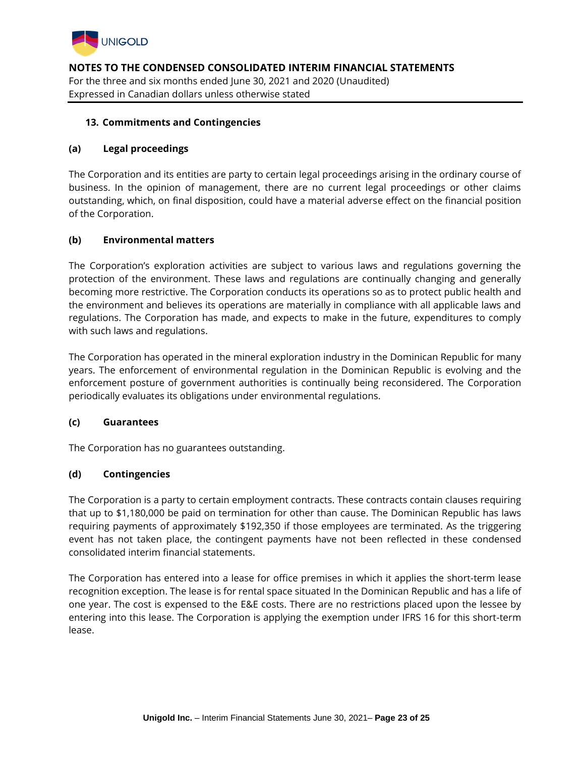

## **13. Commitments and Contingencies**

## **(a) Legal proceedings**

The Corporation and its entities are party to certain legal proceedings arising in the ordinary course of business. In the opinion of management, there are no current legal proceedings or other claims outstanding, which, on final disposition, could have a material adverse effect on the financial position of the Corporation.

## **(b) Environmental matters**

The Corporation's exploration activities are subject to various laws and regulations governing the protection of the environment. These laws and regulations are continually changing and generally becoming more restrictive. The Corporation conducts its operations so as to protect public health and the environment and believes its operations are materially in compliance with all applicable laws and regulations. The Corporation has made, and expects to make in the future, expenditures to comply with such laws and regulations.

The Corporation has operated in the mineral exploration industry in the Dominican Republic for many years. The enforcement of environmental regulation in the Dominican Republic is evolving and the enforcement posture of government authorities is continually being reconsidered. The Corporation periodically evaluates its obligations under environmental regulations.

#### **(c) Guarantees**

The Corporation has no guarantees outstanding.

# **(d) Contingencies**

The Corporation is a party to certain employment contracts. These contracts contain clauses requiring that up to \$1,180,000 be paid on termination for other than cause. The Dominican Republic has laws requiring payments of approximately \$192,350 if those employees are terminated. As the triggering event has not taken place, the contingent payments have not been reflected in these condensed consolidated interim financial statements.

The Corporation has entered into a lease for office premises in which it applies the short-term lease recognition exception. The lease is for rental space situated In the Dominican Republic and has a life of one year. The cost is expensed to the E&E costs. There are no restrictions placed upon the lessee by entering into this lease. The Corporation is applying the exemption under IFRS 16 for this short-term lease.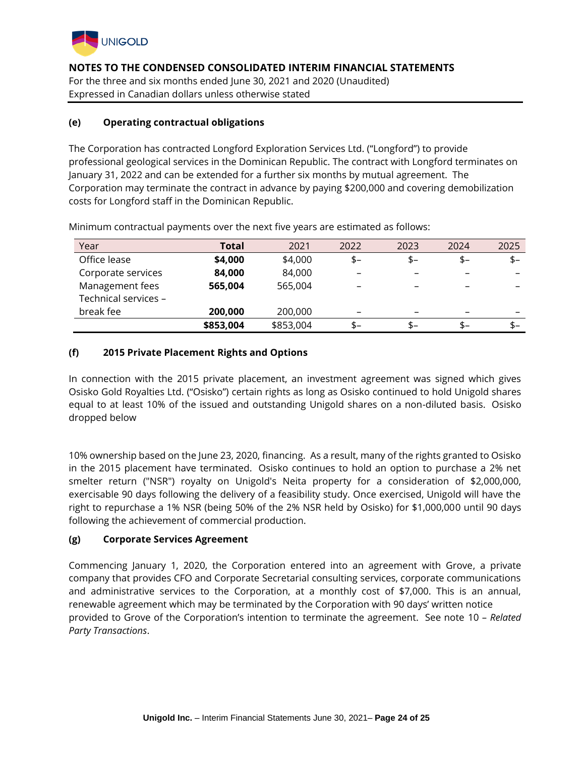

## **(e) Operating contractual obligations**

The Corporation has contracted Longford Exploration Services Ltd. ("Longford") to provide professional geological services in the Dominican Republic. The contract with Longford terminates on January 31, 2022 and can be extended for a further six months by mutual agreement. The Corporation may terminate the contract in advance by paying \$200,000 and covering demobilization costs for Longford staff in the Dominican Republic.

| Year                 | Total     | 2021      | 2022                     | 2023 | 2024 | 2025  |
|----------------------|-----------|-----------|--------------------------|------|------|-------|
| Office lease         | \$4,000   | \$4,000   | $$-$                     | \$-  | $$-$ | $$ -$ |
| Corporate services   | 84,000    | 84,000    | $\overline{\phantom{0}}$ |      |      | -     |
| Management fees      | 565,004   | 565,004   |                          |      |      |       |
| Technical services - |           |           |                          |      |      |       |
| break fee            | 200,000   | 200,000   | -                        |      |      | -     |
|                      | \$853,004 | \$853,004 | \$-                      | \$-  | $$-$ | $$ -$ |

Minimum contractual payments over the next five years are estimated as follows:

# **(f) 2015 Private Placement Rights and Options**

In connection with the 2015 private placement, an investment agreement was signed which gives Osisko Gold Royalties Ltd. ("Osisko") certain rights as long as Osisko continued to hold Unigold shares equal to at least 10% of the issued and outstanding Unigold shares on a non-diluted basis. Osisko dropped below

10% ownership based on the June 23, 2020, financing. As a result, many of the rights granted to Osisko in the 2015 placement have terminated. Osisko continues to hold an option to purchase a 2% net smelter return ("NSR") royalty on Unigold's Neita property for a consideration of \$2,000,000, exercisable 90 days following the delivery of a feasibility study. Once exercised, Unigold will have the right to repurchase a 1% NSR (being 50% of the 2% NSR held by Osisko) for \$1,000,000 until 90 days following the achievement of commercial production.

#### **(g) Corporate Services Agreement**

Commencing January 1, 2020, the Corporation entered into an agreement with Grove, a private company that provides CFO and Corporate Secretarial consulting services, corporate communications and administrative services to the Corporation, at a monthly cost of \$7,000. This is an annual, renewable agreement which may be terminated by the Corporation with 90 days' written notice provided to Grove of the Corporation's intention to terminate the agreement. See note 10 – *Related Party Transactions*.